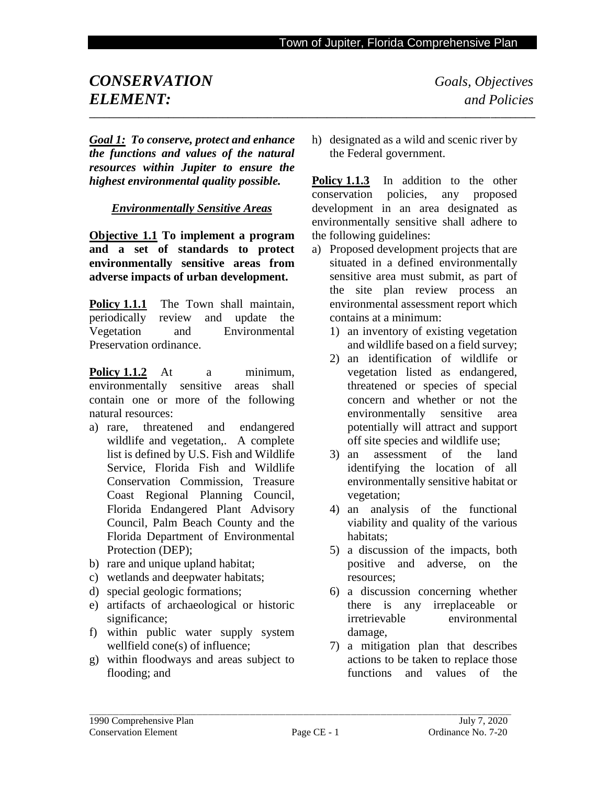# *CONSERVATION**Goals, Objectives* *ELEMENT: and Policies* **\_\_\_\_\_\_\_\_\_\_\_\_\_\_\_\_\_\_\_\_\_\_\_\_\_\_\_\_\_\_\_\_\_\_\_\_\_\_\_\_\_\_\_\_\_\_\_\_\_\_\_\_\_\_\_\_\_\_\_\_\_\_\_\_\_\_\_\_\_\_\_\_\_\_\_\_\_\_\_\_\_\_\_\_\_\_\_\_\_\_**

*Goal 1: To conserve, protect and enhance the functions and values of the natural resources within Jupiter to ensure the highest environmental quality possible.*

*Environmentally Sensitive Areas*

**Objective 1.1 To implement a program and a set of standards to protect environmentally sensitive areas from adverse impacts of urban development.**

Policy 1.1.1 The Town shall maintain, periodically review and update the Vegetation and Environmental Preservation ordinance.

**Policy 1.1.2** At a minimum, environmentally sensitive areas shall contain one or more of the following natural resources:

- a) rare, threatened and endangered wildlife and vegetation,. A complete list is defined by U.S. Fish and Wildlife Service, Florida Fish and Wildlife Conservation Commission, Treasure Coast Regional Planning Council, Florida Endangered Plant Advisory Council, Palm Beach County and the Florida Department of Environmental Protection (DEP);
- b) rare and unique upland habitat;
- c) wetlands and deepwater habitats;
- d) special geologic formations;
- e) artifacts of archaeological or historic significance;
- f) within public water supply system wellfield cone(s) of influence;
- g) within floodways and areas subject to flooding; and

h) designated as a wild and scenic river by the Federal government.

**Policy 1.1.3** In addition to the other conservation policies, any proposed development in an area designated as environmentally sensitive shall adhere to the following guidelines:

- a) Proposed development projects that are situated in a defined environmentally sensitive area must submit, as part of the site plan review process an environmental assessment report which contains at a minimum:
	- 1) an inventory of existing vegetation and wildlife based on a field survey;
	- 2) an identification of wildlife or vegetation listed as endangered, threatened or species of special concern and whether or not the environmentally sensitive area potentially will attract and support off site species and wildlife use;
	- 3) an assessment of the land identifying the location of all environmentally sensitive habitat or vegetation;
	- 4) an analysis of the functional viability and quality of the various habitats;
	- 5) a discussion of the impacts, both positive and adverse, on the resources;
	- 6) a discussion concerning whether there is any irreplaceable or irretrievable environmental damage,
	- 7) a mitigation plan that describes actions to be taken to replace those functions and values of the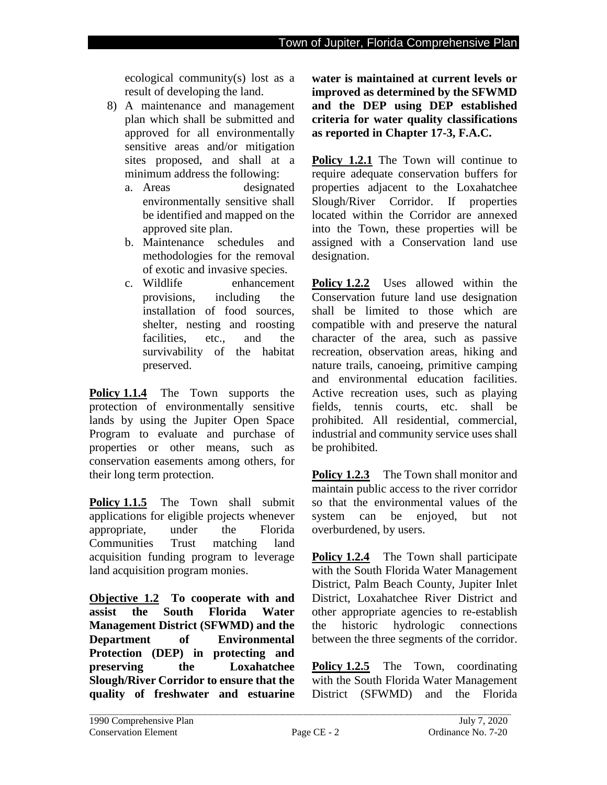ecological community(s) lost as a result of developing the land.

- 8) A maintenance and management plan which shall be submitted and approved for all environmentally sensitive areas and/or mitigation sites proposed, and shall at a minimum address the following:
	- a. Areas designated environmentally sensitive shall be identified and mapped on the approved site plan.
	- b. Maintenance schedules and methodologies for the removal of exotic and invasive species.
	- c. Wildlife enhancement provisions, including the installation of food sources, shelter, nesting and roosting facilities, etc., and the survivability of the habitat preserved.

**Policy 1.1.4** The Town supports the protection of environmentally sensitive lands by using the Jupiter Open Space Program to evaluate and purchase of properties or other means, such as conservation easements among others, for their long term protection.

**Policy 1.1.5** The Town shall submit applications for eligible projects whenever appropriate, under the Florida Communities Trust matching land acquisition funding program to leverage land acquisition program monies.

**Objective 1.2 To cooperate with and assist the South Florida Water Management District (SFWMD) and the Department of Environmental Protection (DEP) in protecting and preserving the Loxahatchee Slough/River Corridor to ensure that the quality of freshwater and estuarine**  **water is maintained at current levels or improved as determined by the SFWMD and the DEP using DEP established criteria for water quality classifications as reported in Chapter 17-3, F.A.C.** 

Policy 1.2.1 The Town will continue to require adequate conservation buffers for properties adjacent to the Loxahatchee Slough/River Corridor. If properties located within the Corridor are annexed into the Town, these properties will be assigned with a Conservation land use designation.

**Policy 1.2.2** Uses allowed within the Conservation future land use designation shall be limited to those which are compatible with and preserve the natural character of the area, such as passive recreation, observation areas, hiking and nature trails, canoeing, primitive camping and environmental education facilities. Active recreation uses, such as playing fields, tennis courts, etc. shall be prohibited. All residential, commercial, industrial and community service uses shall be prohibited.

**Policy 1.2.3** The Town shall monitor and maintain public access to the river corridor so that the environmental values of the system can be enjoyed, but not overburdened, by users.

**Policy 1.2.4** The Town shall participate with the South Florida Water Management District, Palm Beach County, Jupiter Inlet District, Loxahatchee River District and other appropriate agencies to re-establish the historic hydrologic connections between the three segments of the corridor.

**Policy 1.2.5** The Town, coordinating with the South Florida Water Management District (SFWMD) and the Florida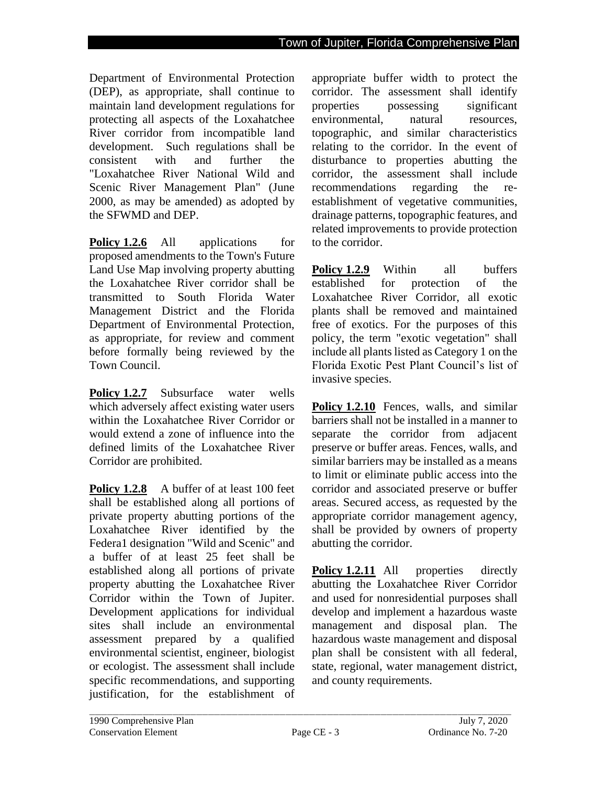Department of Environmental Protection (DEP), as appropriate, shall continue to maintain land development regulations for protecting all aspects of the Loxahatchee River corridor from incompatible land development. Such regulations shall be consistent with and further the "Loxahatchee River National Wild and Scenic River Management Plan" (June 2000, as may be amended) as adopted by the SFWMD and DEP.

**Policy 1.2.6** All applications for proposed amendments to the Town's Future Land Use Map involving property abutting the Loxahatchee River corridor shall be transmitted to South Florida Water Management District and the Florida Department of Environmental Protection, as appropriate, for review and comment before formally being reviewed by the Town Council.

**Policy 1.2.7** Subsurface water wells which adversely affect existing water users within the Loxahatchee River Corridor or would extend a zone of influence into the defined limits of the Loxahatchee River Corridor are prohibited.

**Policy 1.2.8** A buffer of at least 100 feet shall be established along all portions of private property abutting portions of the Loxahatchee River identified by the Federa1 designation "Wild and Scenic" and a buffer of at least 25 feet shall be established along all portions of private property abutting the Loxahatchee River Corridor within the Town of Jupiter. Development applications for individual sites shall include an environmental assessment prepared by a qualified environmental scientist, engineer, biologist or ecologist. The assessment shall include specific recommendations, and supporting justification, for the establishment of appropriate buffer width to protect the corridor. The assessment shall identify properties possessing significant environmental, natural resources, topographic, and similar characteristics relating to the corridor. In the event of disturbance to properties abutting the corridor, the assessment shall include recommendations regarding the reestablishment of vegetative communities, drainage patterns, topographic features, and related improvements to provide protection to the corridor.

**Policy 1.2.9** Within all buffers established for protection of the Loxahatchee River Corridor, all exotic plants shall be removed and maintained free of exotics. For the purposes of this policy, the term "exotic vegetation" shall include all plants listed as Category 1 on the Florida Exotic Pest Plant Council's list of invasive species.

**Policy 1.2.10** Fences, walls, and similar barriers shall not be installed in a manner to separate the corridor from adjacent preserve or buffer areas. Fences, walls, and similar barriers may be installed as a means to limit or eliminate public access into the corridor and associated preserve or buffer areas. Secured access, as requested by the appropriate corridor management agency, shall be provided by owners of property abutting the corridor.

**Policy 1.2.11** All properties directly abutting the Loxahatchee River Corridor and used for nonresidential purposes shall develop and implement a hazardous waste management and disposal plan. The hazardous waste management and disposal plan shall be consistent with all federal, state, regional, water management district, and county requirements.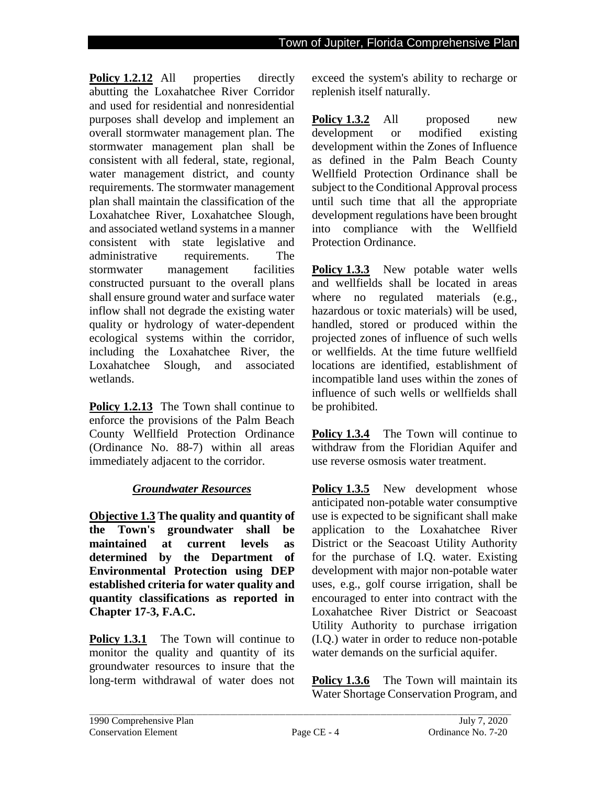**Policy 1.2.12** All properties directly abutting the Loxahatchee River Corridor and used for residential and nonresidential purposes shall develop and implement an overall stormwater management plan. The stormwater management plan shall be consistent with all federal, state, regional, water management district, and county requirements. The stormwater management plan shall maintain the classification of the Loxahatchee River, Loxahatchee Slough, and associated wetland systems in a manner consistent with state legislative and administrative requirements. The stormwater management facilities constructed pursuant to the overall plans shall ensure ground water and surface water inflow shall not degrade the existing water quality or hydrology of water-dependent ecological systems within the corridor, including the Loxahatchee River, the Loxahatchee Slough, and associated wetlands.

**Policy 1.2.13** The Town shall continue to enforce the provisions of the Palm Beach County Wellfield Protection Ordinance (Ordinance No. 88-7) within all areas immediately adjacent to the corridor.

## *Groundwater Resources*

**Objective 1.3 The quality and quantity of the Town's groundwater shall be maintained at current levels as determined by the Department of Environmental Protection using DEP established criteria for water quality and quantity classifications as reported in Chapter 17-3, F.A.C.**

**Policy 1.3.1** The Town will continue to monitor the quality and quantity of its groundwater resources to insure that the long-term withdrawal of water does not exceed the system's ability to recharge or replenish itself naturally.

**Policy 1.3.2** All proposed new development or modified existing development within the Zones of Influence as defined in the Palm Beach County Wellfield Protection Ordinance shall be subject to the Conditional Approval process until such time that all the appropriate development regulations have been brought into compliance with the Wellfield Protection Ordinance.

**Policy 1.3.3** New potable water wells and wellfields shall be located in areas where no regulated materials (e.g., hazardous or toxic materials) will be used, handled, stored or produced within the projected zones of influence of such wells or wellfields. At the time future wellfield locations are identified, establishment of incompatible land uses within the zones of influence of such wells or wellfields shall be prohibited.

**Policy 1.3.4** The Town will continue to withdraw from the Floridian Aquifer and use reverse osmosis water treatment.

**Policy 1.3.5** New development whose anticipated non-potable water consumptive use is expected to be significant shall make application to the Loxahatchee River District or the Seacoast Utility Authority for the purchase of I.Q. water. Existing development with major non-potable water uses, e.g., golf course irrigation, shall be encouraged to enter into contract with the Loxahatchee River District or Seacoast Utility Authority to purchase irrigation (I.Q.) water in order to reduce non-potable water demands on the surficial aquifer.

**Policy 1.3.6** The Town will maintain its Water Shortage Conservation Program, and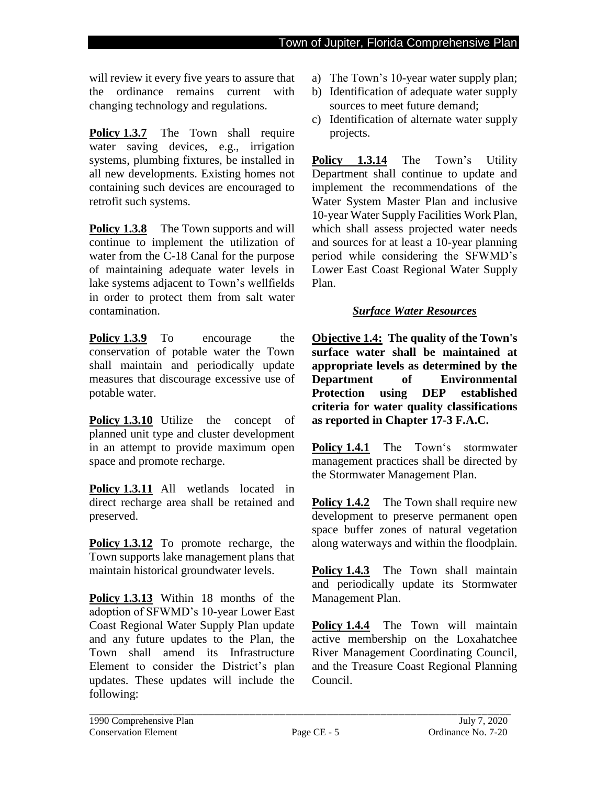will review it every five years to assure that the ordinance remains current with changing technology and regulations.

**Policy 1.3.7** The Town shall require water saving devices, e.g., irrigation systems, plumbing fixtures, be installed in all new developments. Existing homes not containing such devices are encouraged to retrofit such systems.

**Policy 1.3.8** The Town supports and will continue to implement the utilization of water from the C-18 Canal for the purpose of maintaining adequate water levels in lake systems adjacent to Town's wellfields in order to protect them from salt water contamination.

**Policy 1.3.9** To encourage the conservation of potable water the Town shall maintain and periodically update measures that discourage excessive use of potable water.

**Policy 1.3.10** Utilize the concept of planned unit type and cluster development in an attempt to provide maximum open space and promote recharge.

**Policy 1.3.11** All wetlands located in direct recharge area shall be retained and preserved.

**Policy 1.3.12** To promote recharge, the Town supports lake management plans that maintain historical groundwater levels.

**Policy 1.3.13** Within 18 months of the adoption of SFWMD's 10-year Lower East Coast Regional Water Supply Plan update and any future updates to the Plan, the Town shall amend its Infrastructure Element to consider the District's plan updates. These updates will include the following:

- a) The Town's 10-year water supply plan;
- b) Identification of adequate water supply sources to meet future demand;
- c) Identification of alternate water supply projects.

**Policy 1.3.14** The Town's Utility Department shall continue to update and implement the recommendations of the Water System Master Plan and inclusive 10-year Water Supply Facilities Work Plan, which shall assess projected water needs and sources for at least a 10-year planning period while considering the SFWMD's Lower East Coast Regional Water Supply Plan.

### *Surface Water Resources*

**Objective 1.4: The quality of the Town's surface water shall be maintained at appropriate levels as determined by the Department of Environmental Protection using DEP established criteria for water quality classifications as reported in Chapter 17-3 F.A.C.**

**Policy 1.4.1** The Town's stormwater management practices shall be directed by the Stormwater Management Plan.

**Policy 1.4.2** The Town shall require new development to preserve permanent open space buffer zones of natural vegetation along waterways and within the floodplain.

**Policy 1.4.3** The Town shall maintain and periodically update its Stormwater Management Plan.

**Policy 1.4.4** The Town will maintain active membership on the Loxahatchee River Management Coordinating Council, and the Treasure Coast Regional Planning Council.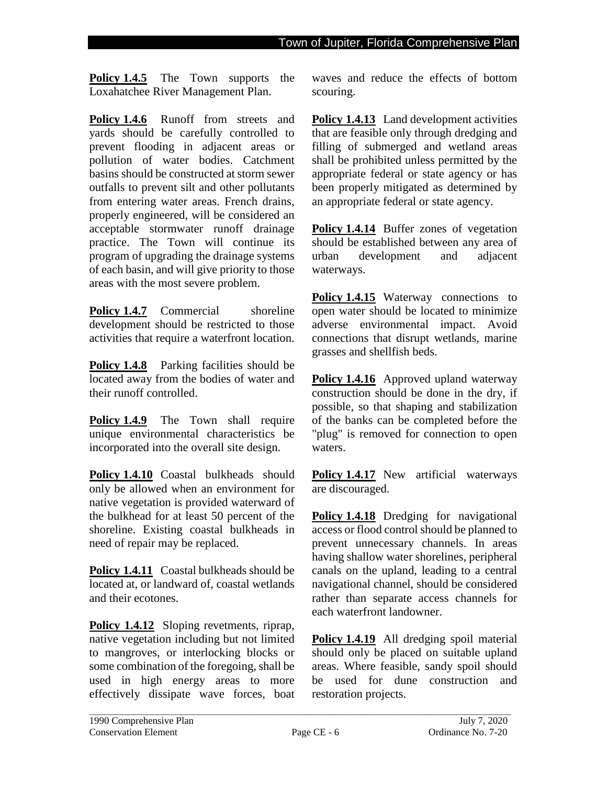**Policy 1.4.5** The Town supports the Loxahatchee River Management Plan.

Policy 1.4.6 Runoff from streets and yards should be carefully controlled to prevent flooding in adjacent areas or pollution of water bodies. Catchment basins should be constructed at storm sewer outfalls to prevent silt and other pollutants from entering water areas. French drains, properly engineered, will be considered an acceptable stormwater runoff drainage practice. The Town will continue its program of upgrading the drainage systems of each basin, and will give priority to those areas with the most severe problem.

**Policy 1.4.7** Commercial shoreline development should be restricted to those activities that require a waterfront location.

**Policy 1.4.8** Parking facilities should be located away from the bodies of water and their runoff controlled.

**Policy 1.4.9** The Town shall require unique environmental characteristics be incorporated into the overall site design.

Policy 1.4.10 Coastal bulkheads should only be allowed when an environment for native vegetation is provided waterward of the bulkhead for at least 50 percent of the shoreline. Existing coastal bulkheads in need of repair may be replaced.

**Policy 1.4.11** Coastal bulkheads should be located at, or landward of, coastal wetlands and their ecotones.

**Policy 1.4.12** Sloping revetments, riprap, native vegetation including but not limited to mangroves, or interlocking blocks or some combination of the foregoing, shall be used in high energy areas to more effectively dissipate wave forces, boat waves and reduce the effects of bottom scouring.

**Policy 1.4.13** Land development activities that are feasible only through dredging and filling of submerged and wetland areas shall be prohibited unless permitted by the appropriate federal or state agency or has been properly mitigated as determined by an appropriate federal or state agency.

**Policy 1.4.14** Buffer zones of vegetation should be established between any area of urban development and adjacent waterways.

**Policy 1.4.15** Waterway connections to open water should be located to minimize adverse environmental impact. Avoid connections that disrupt wetlands, marine grasses and shellfish beds.

**Policy 1.4.16** Approved upland waterway construction should be done in the dry, if possible, so that shaping and stabilization of the banks can be completed before the "plug" is removed for connection to open waters.

**Policy 1.4.17** New artificial waterways are discouraged.

Policy 1.4.18 Dredging for navigational access or flood control should be planned to prevent unnecessary channels. In areas having shallow water shorelines, peripheral canals on the upland, leading to a central navigational channel, should be considered rather than separate access channels for each waterfront landowner.

**Policy 1.4.19** All dredging spoil material should only be placed on suitable upland areas. Where feasible, sandy spoil should be used for dune construction and restoration projects.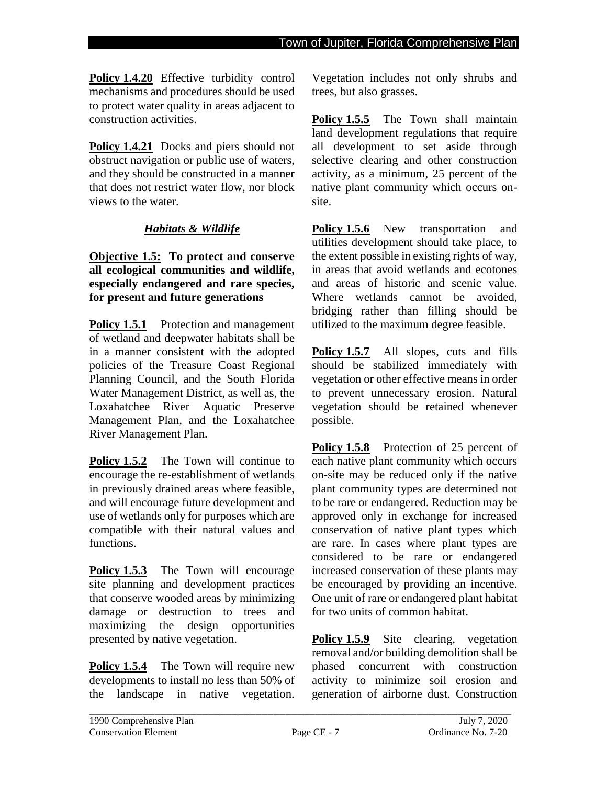**Policy 1.4.20** Effective turbidity control mechanisms and procedures should be used to protect water quality in areas adjacent to construction activities.

Policy 1.4.21 Docks and piers should not obstruct navigation or public use of waters, and they should be constructed in a manner that does not restrict water flow, nor block views to the water.

## *Habitats & Wildlife*

**Objective 1.5: To protect and conserve all ecological communities and wildlife, especially endangered and rare species, for present and future generations** 

**Policy 1.5.1** Protection and management of wetland and deepwater habitats shall be in a manner consistent with the adopted policies of the Treasure Coast Regional Planning Council, and the South Florida Water Management District, as well as, the Loxahatchee River Aquatic Preserve Management Plan, and the Loxahatchee River Management Plan.

**Policy 1.5.2** The Town will continue to encourage the re-establishment of wetlands in previously drained areas where feasible, and will encourage future development and use of wetlands only for purposes which are compatible with their natural values and functions.

**Policy 1.5.3** The Town will encourage site planning and development practices that conserve wooded areas by minimizing damage or destruction to trees and maximizing the design opportunities presented by native vegetation.

**Policy 1.5.4** The Town will require new developments to install no less than 50% of the landscape in native vegetation.

Vegetation includes not only shrubs and trees, but also grasses.

**Policy 1.5.5** The Town shall maintain land development regulations that require all development to set aside through selective clearing and other construction activity, as a minimum, 25 percent of the native plant community which occurs onsite.

**Policy 1.5.6** New transportation and utilities development should take place, to the extent possible in existing rights of way, in areas that avoid wetlands and ecotones and areas of historic and scenic value. Where wetlands cannot be avoided. bridging rather than filling should be utilized to the maximum degree feasible.

**Policy 1.5.7** All slopes, cuts and fills should be stabilized immediately with vegetation or other effective means in order to prevent unnecessary erosion. Natural vegetation should be retained whenever possible.

**Policy 1.5.8** Protection of 25 percent of each native plant community which occurs on-site may be reduced only if the native plant community types are determined not to be rare or endangered. Reduction may be approved only in exchange for increased conservation of native plant types which are rare. In cases where plant types are considered to be rare or endangered increased conservation of these plants may be encouraged by providing an incentive. One unit of rare or endangered plant habitat for two units of common habitat.

**Policy 1.5.9** Site clearing, vegetation removal and/or building demolition shall be phased concurrent with construction activity to minimize soil erosion and generation of airborne dust. Construction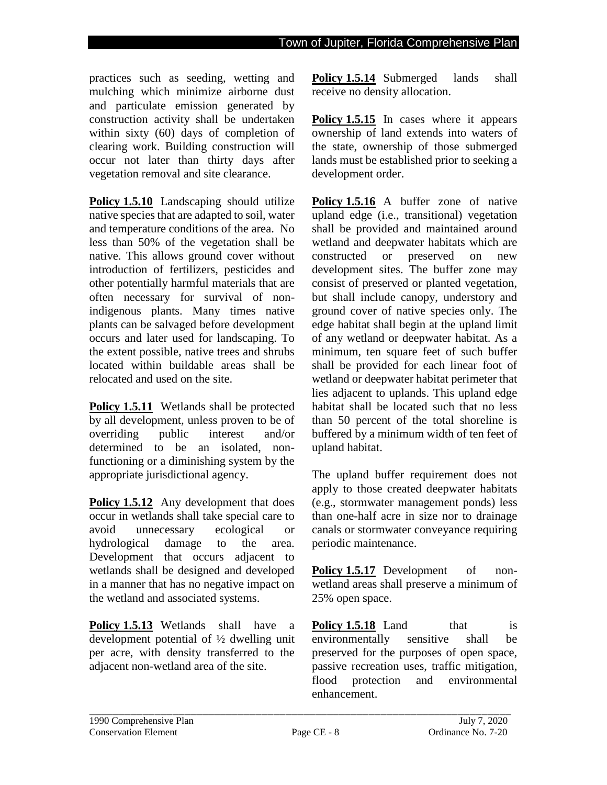practices such as seeding, wetting and mulching which minimize airborne dust and particulate emission generated by construction activity shall be undertaken within sixty (60) days of completion of clearing work. Building construction will occur not later than thirty days after vegetation removal and site clearance.

**Policy 1.5.10** Landscaping should utilize native species that are adapted to soil, water and temperature conditions of the area. No less than 50% of the vegetation shall be native. This allows ground cover without introduction of fertilizers, pesticides and other potentially harmful materials that are often necessary for survival of nonindigenous plants. Many times native plants can be salvaged before development occurs and later used for landscaping. To the extent possible, native trees and shrubs located within buildable areas shall be relocated and used on the site.

**Policy 1.5.11** Wetlands shall be protected by all development, unless proven to be of overriding public interest and/or determined to be an isolated, nonfunctioning or a diminishing system by the appropriate jurisdictional agency.

**Policy 1.5.12** Any development that does occur in wetlands shall take special care to avoid unnecessary ecological or hydrological damage to the area. Development that occurs adjacent to wetlands shall be designed and developed in a manner that has no negative impact on the wetland and associated systems.

**Policy 1.5.13** Wetlands shall have a development potential of ½ dwelling unit per acre, with density transferred to the adjacent non-wetland area of the site.

**Policy 1.5.14** Submerged lands shall receive no density allocation.

**Policy 1.5.15** In cases where it appears ownership of land extends into waters of the state, ownership of those submerged lands must be established prior to seeking a development order.

**Policy 1.5.16** A buffer zone of native upland edge (i.e., transitional) vegetation shall be provided and maintained around wetland and deepwater habitats which are constructed or preserved on new development sites. The buffer zone may consist of preserved or planted vegetation, but shall include canopy, understory and ground cover of native species only. The edge habitat shall begin at the upland limit of any wetland or deepwater habitat. As a minimum, ten square feet of such buffer shall be provided for each linear foot of wetland or deepwater habitat perimeter that lies adjacent to uplands. This upland edge habitat shall be located such that no less than 50 percent of the total shoreline is buffered by a minimum width of ten feet of upland habitat.

The upland buffer requirement does not apply to those created deepwater habitats (e.g., stormwater management ponds) less than one-half acre in size nor to drainage canals or stormwater conveyance requiring periodic maintenance.

**Policy 1.5.17** Development of nonwetland areas shall preserve a minimum of 25% open space.

**Policy 1.5.18** Land that is environmentally sensitive shall be preserved for the purposes of open space, passive recreation uses, traffic mitigation, flood protection and environmental enhancement.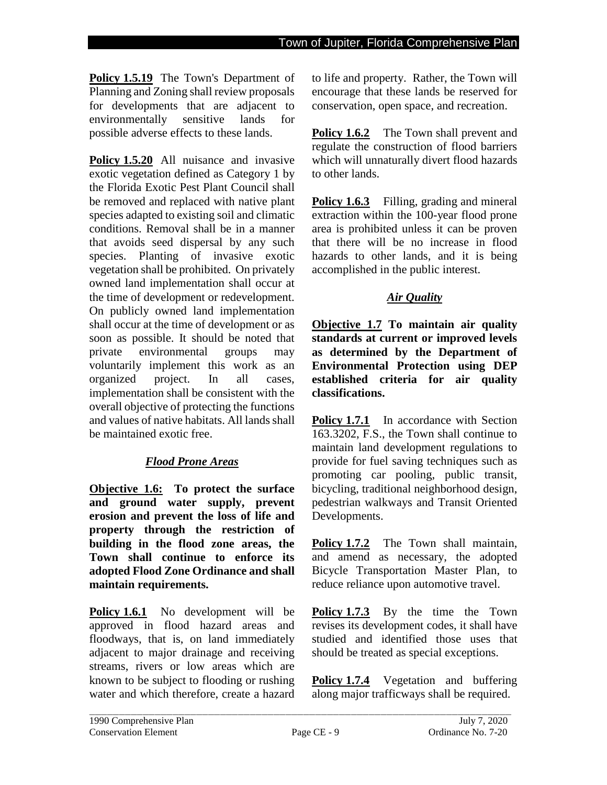**Policy 1.5.19** The Town's Department of Planning and Zoning shall review proposals for developments that are adjacent to environmentally sensitive lands for possible adverse effects to these lands.

**Policy 1.5.20** All nuisance and invasive exotic vegetation defined as Category 1 by the Florida Exotic Pest Plant Council shall be removed and replaced with native plant species adapted to existing soil and climatic conditions. Removal shall be in a manner that avoids seed dispersal by any such species. Planting of invasive exotic vegetation shall be prohibited. On privately owned land implementation shall occur at the time of development or redevelopment. On publicly owned land implementation shall occur at the time of development or as soon as possible. It should be noted that private environmental groups may voluntarily implement this work as an organized project. In all cases, implementation shall be consistent with the overall objective of protecting the functions and values of native habitats. All lands shall be maintained exotic free.

# *Flood Prone Areas*

**Objective 1.6: To protect the surface and ground water supply, prevent erosion and prevent the loss of life and property through the restriction of building in the flood zone areas, the Town shall continue to enforce its adopted Flood Zone Ordinance and shall maintain requirements.**

**Policy 1.6.1** No development will be approved in flood hazard areas and floodways, that is, on land immediately adjacent to major drainage and receiving streams, rivers or low areas which are known to be subject to flooding or rushing water and which therefore, create a hazard

to life and property. Rather, the Town will encourage that these lands be reserved for conservation, open space, and recreation.

**Policy 1.6.2** The Town shall prevent and regulate the construction of flood barriers which will unnaturally divert flood hazards to other lands.

**Policy 1.6.3** Filling, grading and mineral extraction within the 100-year flood prone area is prohibited unless it can be proven that there will be no increase in flood hazards to other lands, and it is being accomplished in the public interest.

## *Air Quality*

**Objective 1.7 To maintain air quality standards at current or improved levels as determined by the Department of Environmental Protection using DEP established criteria for air quality classifications.**

**Policy 1.7.1** In accordance with Section 163.3202, F.S., the Town shall continue to maintain land development regulations to provide for fuel saving techniques such as promoting car pooling, public transit, bicycling, traditional neighborhood design, pedestrian walkways and Transit Oriented Developments.

Policy 1.7.2 The Town shall maintain, and amend as necessary, the adopted Bicycle Transportation Master Plan, to reduce reliance upon automotive travel.

**Policy 1.7.3** By the time the Town revises its development codes, it shall have studied and identified those uses that should be treated as special exceptions.

**Policy 1.7.4** Vegetation and buffering along major trafficways shall be required.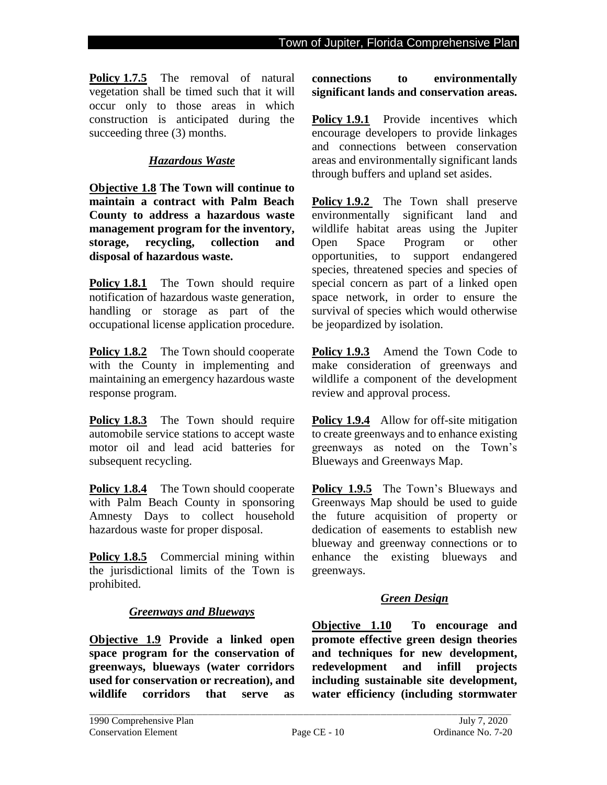**Policy 1.7.5** The removal of natural vegetation shall be timed such that it will occur only to those areas in which construction is anticipated during the succeeding three  $(3)$  months.

### *Hazardous Waste*

**Objective 1.8 The Town will continue to maintain a contract with Palm Beach County to address a hazardous waste management program for the inventory, storage, recycling, collection and disposal of hazardous waste.**

**Policy 1.8.1** The Town should require notification of hazardous waste generation, handling or storage as part of the occupational license application procedure.

**Policy 1.8.2** The Town should cooperate with the County in implementing and maintaining an emergency hazardous waste response program.

Policy 1.8.3 The Town should require automobile service stations to accept waste motor oil and lead acid batteries for subsequent recycling.

**Policy 1.8.4** The Town should cooperate with Palm Beach County in sponsoring Amnesty Days to collect household hazardous waste for proper disposal.

**Policy 1.8.5** Commercial mining within the jurisdictional limits of the Town is prohibited.

### *Greenways and Blueways*

**Objective 1.9 Provide a linked open space program for the conservation of greenways, blueways (water corridors used for conservation or recreation), and wildlife corridors that serve as** 

**connections to environmentally significant lands and conservation areas.** 

**Policy 1.9.1** Provide incentives which encourage developers to provide linkages and connections between conservation areas and environmentally significant lands through buffers and upland set asides.

**Policy 1.9.2** The Town shall preserve environmentally significant land and wildlife habitat areas using the Jupiter Open Space Program or other opportunities, to support endangered species, threatened species and species of special concern as part of a linked open space network, in order to ensure the survival of species which would otherwise be jeopardized by isolation.

Policy 1.9.3 Amend the Town Code to make consideration of greenways and wildlife a component of the development review and approval process.

**Policy 1.9.4** Allow for off-site mitigation to create greenways and to enhance existing greenways as noted on the Town's Blueways and Greenways Map.

**Policy 1.9.5** The Town's Blueways and Greenways Map should be used to guide the future acquisition of property or dedication of easements to establish new blueway and greenway connections or to enhance the existing blueways and greenways.

### *Green Design*

**Objective 1.10 To encourage and promote effective green design theories and techniques for new development, redevelopment and infill projects including sustainable site development, water efficiency (including stormwater**